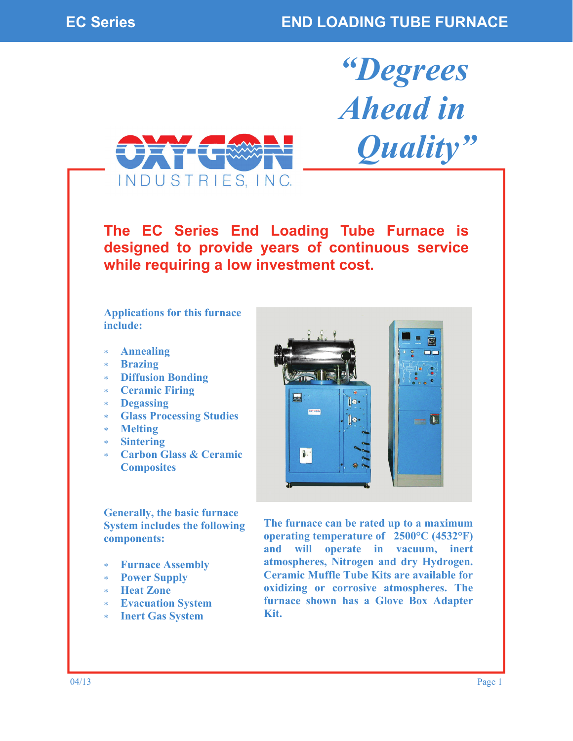*"Degrees* 

*Ahead in* 

 *Quality"* 



**The EC Series End Loading Tube Furnace is designed to provide years of continuous service while requiring a low investment cost.** 

**Applications for this furnace include:** 

- **Annealing**
- **Brazing**
- **Diffusion Bonding**
- **Ceramic Firing**
- **Degassing**
- **Glass Processing Studies**
- **Melting**
- **Sintering**
- **Carbon Glass & Ceramic Composites**

**Generally, the basic furnace System includes the following components:** 

- **Furnace Assembly**
- **Power Supply**
- **Heat Zone**
- **Evacuation System**
- **Inert Gas System**



**The furnace can be rated up to a maximum operating temperature of 2500°C (4532°F) and will operate in vacuum, inert atmospheres, Nitrogen and dry Hydrogen. Ceramic Muffle Tube Kits are available for oxidizing or corrosive atmospheres. The furnace shown has a Glove Box Adapter Kit.**